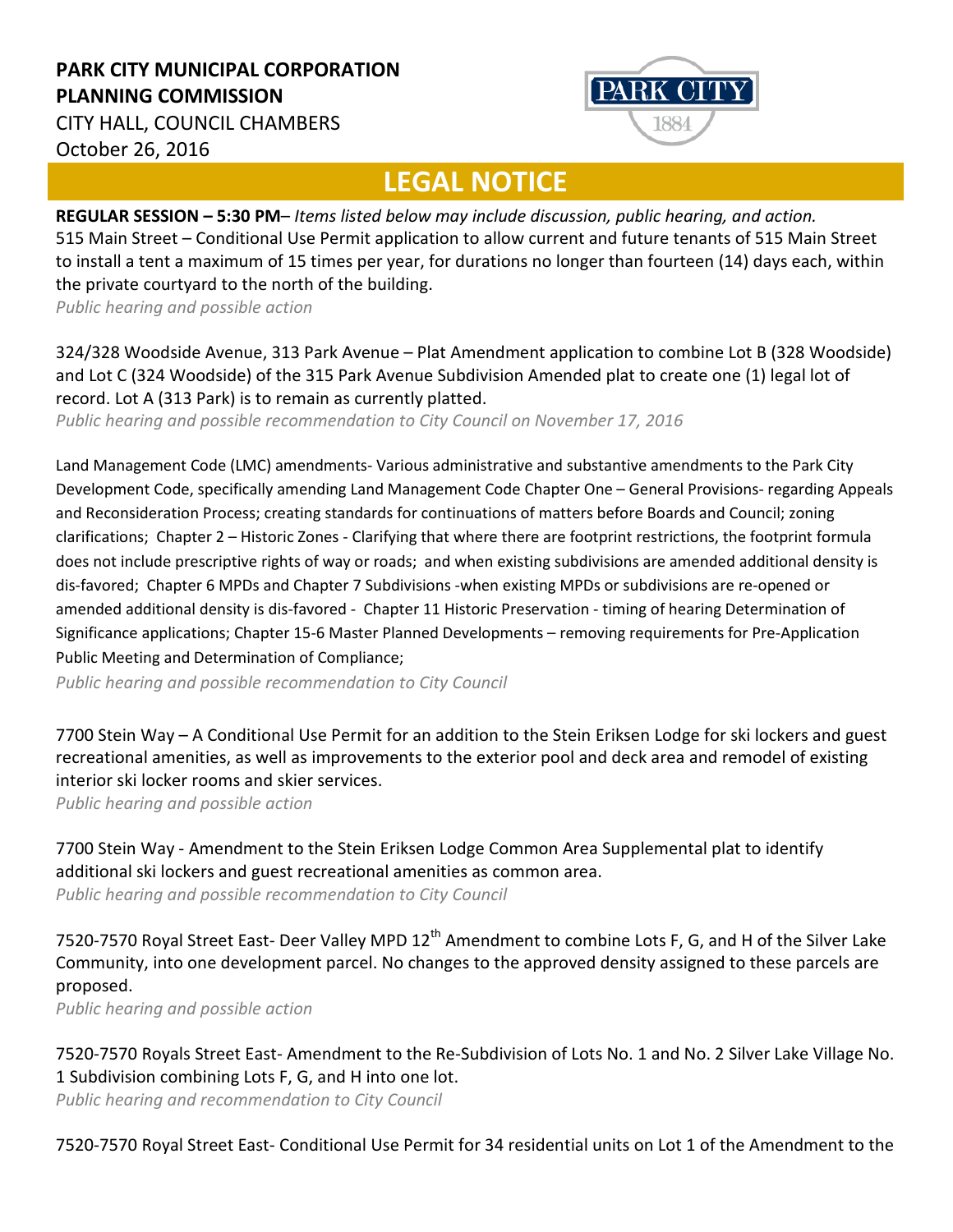## **PARK CITY MUNICIPAL CORPORATION PLANNING COMMISSION**

**PARK CI** 

CITY HALL, COUNCIL CHAMBERS October 26, 2016

## **LEGAL NOTICE**

**REGULAR SESSION – 5:30 PM**– *Items listed below may include discussion, public hearing, and action.*  515 Main Street – Conditional Use Permit application to allow current and future tenants of 515 Main Street to install a tent a maximum of 15 times per year, for durations no longer than fourteen (14) days each, within the private courtyard to the north of the building.

*Public hearing and possible action*

324/328 Woodside Avenue, 313 Park Avenue – Plat Amendment application to combine Lot B (328 Woodside) and Lot C (324 Woodside) of the 315 Park Avenue Subdivision Amended plat to create one (1) legal lot of record. Lot A (313 Park) is to remain as currently platted.

*Public hearing and possible recommendation to City Council on November 17, 2016*

Land Management Code (LMC) amendments- Various administrative and substantive amendments to the Park City Development Code, specifically amending Land Management Code Chapter One – General Provisions- regarding Appeals and Reconsideration Process; creating standards for continuations of matters before Boards and Council; zoning clarifications; Chapter 2 – Historic Zones - Clarifying that where there are footprint restrictions, the footprint formula does not include prescriptive rights of way or roads; and when existing subdivisions are amended additional density is dis-favored; Chapter 6 MPDs and Chapter 7 Subdivisions -when existing MPDs or subdivisions are re-opened or amended additional density is dis-favored - Chapter 11 Historic Preservation - timing of hearing Determination of Significance applications; Chapter 15-6 Master Planned Developments – removing requirements for Pre-Application Public Meeting and Determination of Compliance;

*Public hearing and possible recommendation to City Council*

7700 Stein Way – A Conditional Use Permit for an addition to the Stein Eriksen Lodge for ski lockers and guest recreational amenities, as well as improvements to the exterior pool and deck area and remodel of existing interior ski locker rooms and skier services.

*Public hearing and possible action*

7700 Stein Way - Amendment to the Stein Eriksen Lodge Common Area Supplemental plat to identify additional ski lockers and guest recreational amenities as common area. *Public hearing and possible recommendation to City Council*

7520-7570 Royal Street East- Deer Valley MPD 12<sup>th</sup> Amendment to combine Lots F, G, and H of the Silver Lake Community, into one development parcel. No changes to the approved density assigned to these parcels are proposed.

*Public hearing and possible action*

7520-7570 Royals Street East- Amendment to the Re-Subdivision of Lots No. 1 and No. 2 Silver Lake Village No. 1 Subdivision combining Lots F, G, and H into one lot.

*Public hearing and recommendation to City Council*

7520-7570 Royal Street East- Conditional Use Permit for 34 residential units on Lot 1 of the Amendment to the